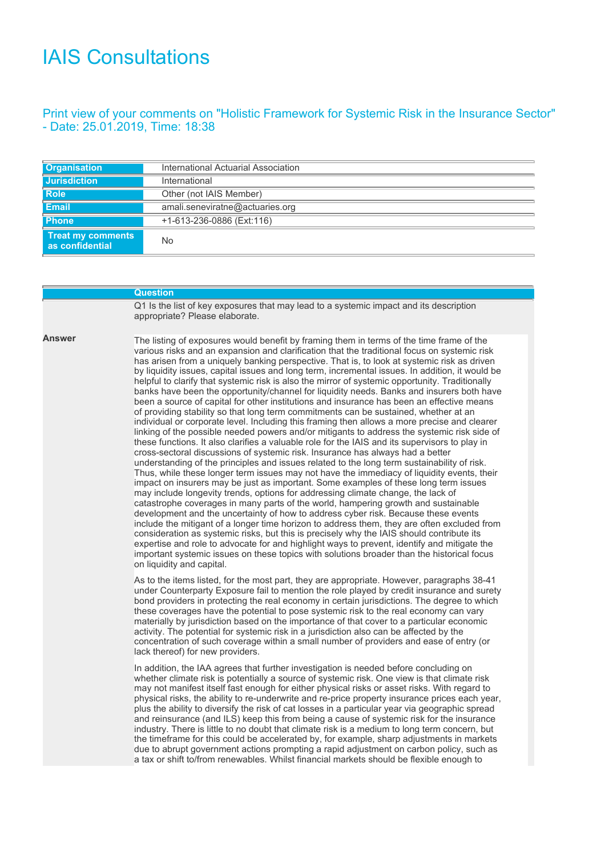## IAIS Consultations

## Print view of your comments on "Holistic Framework for Systemic Risk in the Insurance Sector" - Date: 25.01.2019, Time: 18:38

| <b>Organisation</b>                         | International Actuarial Association |
|---------------------------------------------|-------------------------------------|
| Jurisdiction                                | International                       |
| <b>Role</b>                                 | Other (not IAIS Member)             |
| Email                                       | amali.seneviratne@actuaries.org     |
| <b>Phone</b>                                | +1-613-236-0886 (Ext:116)           |
| <b>Treat my comments</b><br>as confidential | No                                  |

|        | <b>Question</b>                                                                                                                                                                                                                                                                                                                                                                                                                                                                                                                                                                                                                                                                                                                                                                                                                                                                                                                                                                                                                                                                                                                                                                                                                                                                                                                                                                                                                                                                                                                                                                                                                                                                                                                                                                                                                                                                                                                                                                                                                                                                                                                               |
|--------|-----------------------------------------------------------------------------------------------------------------------------------------------------------------------------------------------------------------------------------------------------------------------------------------------------------------------------------------------------------------------------------------------------------------------------------------------------------------------------------------------------------------------------------------------------------------------------------------------------------------------------------------------------------------------------------------------------------------------------------------------------------------------------------------------------------------------------------------------------------------------------------------------------------------------------------------------------------------------------------------------------------------------------------------------------------------------------------------------------------------------------------------------------------------------------------------------------------------------------------------------------------------------------------------------------------------------------------------------------------------------------------------------------------------------------------------------------------------------------------------------------------------------------------------------------------------------------------------------------------------------------------------------------------------------------------------------------------------------------------------------------------------------------------------------------------------------------------------------------------------------------------------------------------------------------------------------------------------------------------------------------------------------------------------------------------------------------------------------------------------------------------------------|
|        | Q1 Is the list of key exposures that may lead to a systemic impact and its description<br>appropriate? Please elaborate.                                                                                                                                                                                                                                                                                                                                                                                                                                                                                                                                                                                                                                                                                                                                                                                                                                                                                                                                                                                                                                                                                                                                                                                                                                                                                                                                                                                                                                                                                                                                                                                                                                                                                                                                                                                                                                                                                                                                                                                                                      |
| Answer | The listing of exposures would benefit by framing them in terms of the time frame of the<br>various risks and an expansion and clarification that the traditional focus on systemic risk<br>has arisen from a uniquely banking perspective. That is, to look at systemic risk as driven<br>by liquidity issues, capital issues and long term, incremental issues. In addition, it would be<br>helpful to clarify that systemic risk is also the mirror of systemic opportunity. Traditionally<br>banks have been the opportunity/channel for liquidity needs. Banks and insurers both have<br>been a source of capital for other institutions and insurance has been an effective means<br>of providing stability so that long term commitments can be sustained, whether at an<br>individual or corporate level. Including this framing then allows a more precise and clearer<br>linking of the possible needed powers and/or mitigants to address the systemic risk side of<br>these functions. It also clarifies a valuable role for the IAIS and its supervisors to play in<br>cross-sectoral discussions of systemic risk. Insurance has always had a better<br>understanding of the principles and issues related to the long term sustainability of risk.<br>Thus, while these longer term issues may not have the immediacy of liquidity events, their<br>impact on insurers may be just as important. Some examples of these long term issues<br>may include longevity trends, options for addressing climate change, the lack of<br>catastrophe coverages in many parts of the world, hampering growth and sustainable<br>development and the uncertainty of how to address cyber risk. Because these events<br>include the mitigant of a longer time horizon to address them, they are often excluded from<br>consideration as systemic risks, but this is precisely why the IAIS should contribute its<br>expertise and role to advocate for and highlight ways to prevent, identify and mitigate the<br>important systemic issues on these topics with solutions broader than the historical focus<br>on liquidity and capital. |
|        | As to the items listed, for the most part, they are appropriate. However, paragraphs 38-41<br>under Counterparty Exposure fail to mention the role played by credit insurance and surety<br>bond providers in protecting the real economy in certain jurisdictions. The degree to which<br>these coverages have the potential to pose systemic risk to the real economy can vary<br>materially by jurisdiction based on the importance of that cover to a particular economic<br>activity. The potential for systemic risk in a jurisdiction also can be affected by the<br>concentration of such coverage within a small number of providers and ease of entry (or<br>lack thereof) for new providers.                                                                                                                                                                                                                                                                                                                                                                                                                                                                                                                                                                                                                                                                                                                                                                                                                                                                                                                                                                                                                                                                                                                                                                                                                                                                                                                                                                                                                                       |
|        | In addition, the IAA agrees that further investigation is needed before concluding on<br>whether climate risk is potentially a source of systemic risk. One view is that climate risk<br>may not manifest itself fast enough for either physical risks or asset risks. With regard to<br>physical risks, the ability to re-underwrite and re-price property insurance prices each year,<br>plus the ability to diversify the risk of cat losses in a particular year via geographic spread<br>and reinsurance (and ILS) keep this from being a cause of systemic risk for the insurance<br>industry. There is little to no doubt that climate risk is a medium to long term concern, but<br>the timeframe for this could be accelerated by, for example, sharp adjustments in markets<br>due to abrupt government actions prompting a rapid adjustment on carbon policy, such as<br>a tax or shift to/from renewables. Whilst financial markets should be flexible enough to                                                                                                                                                                                                                                                                                                                                                                                                                                                                                                                                                                                                                                                                                                                                                                                                                                                                                                                                                                                                                                                                                                                                                                  |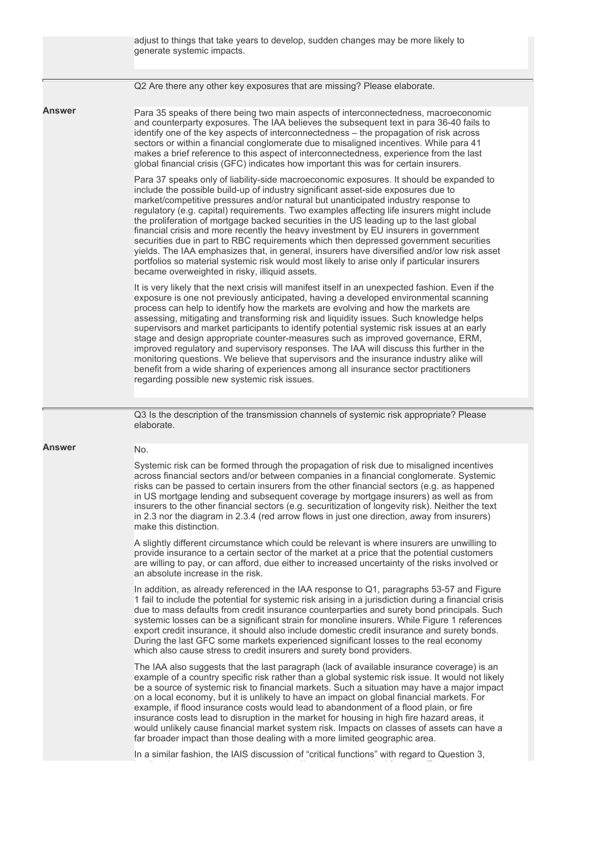|               | adjust to things that take years to develop, sudden changes may be more likely to<br>generate systemic impacts.                                                                                                                                                                                                                                                                                                                                                                                                                                                                                                                                                                                                                                                                                                                                                                               |
|---------------|-----------------------------------------------------------------------------------------------------------------------------------------------------------------------------------------------------------------------------------------------------------------------------------------------------------------------------------------------------------------------------------------------------------------------------------------------------------------------------------------------------------------------------------------------------------------------------------------------------------------------------------------------------------------------------------------------------------------------------------------------------------------------------------------------------------------------------------------------------------------------------------------------|
|               | Q2 Are there any other key exposures that are missing? Please elaborate.                                                                                                                                                                                                                                                                                                                                                                                                                                                                                                                                                                                                                                                                                                                                                                                                                      |
| Answer        | Para 35 speaks of there being two main aspects of interconnectedness, macroeconomic<br>and counterparty exposures. The IAA believes the subsequent text in para 36-40 fails to<br>identify one of the key aspects of interconnectedness - the propagation of risk across<br>sectors or within a financial conglomerate due to misaligned incentives. While para 41<br>makes a brief reference to this aspect of interconnectedness, experience from the last<br>global financial crisis (GFC) indicates how important this was for certain insurers.                                                                                                                                                                                                                                                                                                                                          |
|               | Para 37 speaks only of liability-side macroeconomic exposures. It should be expanded to<br>include the possible build-up of industry significant asset-side exposures due to<br>market/competitive pressures and/or natural but unanticipated industry response to<br>regulatory (e.g. capital) requirements. Two examples affecting life insurers might include<br>the proliferation of mortgage backed securities in the US leading up to the last global<br>financial crisis and more recently the heavy investment by EU insurers in government<br>securities due in part to RBC requirements which then depressed government securities<br>yields. The IAA emphasizes that, in general, insurers have diversified and/or low risk asset<br>portfolios so material systemic risk would most likely to arise only if particular insurers<br>became overweighted in risky, illiquid assets. |
|               | It is very likely that the next crisis will manifest itself in an unexpected fashion. Even if the<br>exposure is one not previously anticipated, having a developed environmental scanning<br>process can help to identify how the markets are evolving and how the markets are<br>assessing, mitigating and transforming risk and liquidity issues. Such knowledge helps<br>supervisors and market participants to identify potential systemic risk issues at an early<br>stage and design appropriate counter-measures such as improved governance, ERM,<br>improved regulatory and supervisory responses. The IAA will discuss this further in the<br>monitoring questions. We believe that supervisors and the insurance industry alike will<br>benefit from a wide sharing of experiences among all insurance sector practitioners<br>regarding possible new systemic risk issues.       |
|               | Q3 Is the description of the transmission channels of systemic risk appropriate? Please<br>elaborate.                                                                                                                                                                                                                                                                                                                                                                                                                                                                                                                                                                                                                                                                                                                                                                                         |
| <b>Answer</b> | No.                                                                                                                                                                                                                                                                                                                                                                                                                                                                                                                                                                                                                                                                                                                                                                                                                                                                                           |
|               | Systemic risk can be formed through the propagation of risk due to misaligned incentives<br>across financial sectors and/or between companies in a financial conglomerate. Systemic<br>risks can be passed to certain insurers from the other financial sectors (e.g. as happened<br>in US mortgage lending and subsequent coverage by mortgage insurers) as well as from<br>insurers to the other financial sectors (e.g. securitization of longevity risk). Neither the text<br>in 2.3 nor the diagram in 2.3.4 (red arrow flows in just one direction, away from insurers)<br>make this distinction.                                                                                                                                                                                                                                                                                       |
|               | A slightly different circumstance which could be relevant is where insurers are unwilling to<br>provide insurance to a certain sector of the market at a price that the potential customers<br>are willing to pay, or can afford, due either to increased uncertainty of the risks involved or<br>an absolute increase in the risk.                                                                                                                                                                                                                                                                                                                                                                                                                                                                                                                                                           |
|               | In addition, as already referenced in the IAA response to Q1, paragraphs 53-57 and Figure<br>1 fail to include the potential for systemic risk arising in a jurisdiction during a financial crisis<br>due to mass defaults from credit insurance counterparties and surety bond principals. Such<br>systemic losses can be a significant strain for monoline insurers. While Figure 1 references<br>export credit insurance, it should also include domestic credit insurance and surety bonds.<br>During the last GFC some markets experienced significant losses to the real economy<br>which also cause stress to credit insurers and surety bond providers.                                                                                                                                                                                                                               |
|               | The IAA also suggests that the last paragraph (lack of available insurance coverage) is an<br>example of a country specific risk rather than a global systemic risk issue. It would not likely<br>be a source of systemic risk to financial markets. Such a situation may have a major impact<br>on a local economy, but it is unlikely to have an impact on global financial markets. For<br>example, if flood insurance costs would lead to abandonment of a flood plain, or fire<br>insurance costs lead to disruption in the market for housing in high fire hazard areas, it<br>would unlikely cause financial market system risk. Impacts on classes of assets can have a<br>far broader impact than those dealing with a more limited geographic area.                                                                                                                                 |
|               | In a similar fashion, the IAIS discussion of "critical functions" with regard to Question 3,                                                                                                                                                                                                                                                                                                                                                                                                                                                                                                                                                                                                                                                                                                                                                                                                  |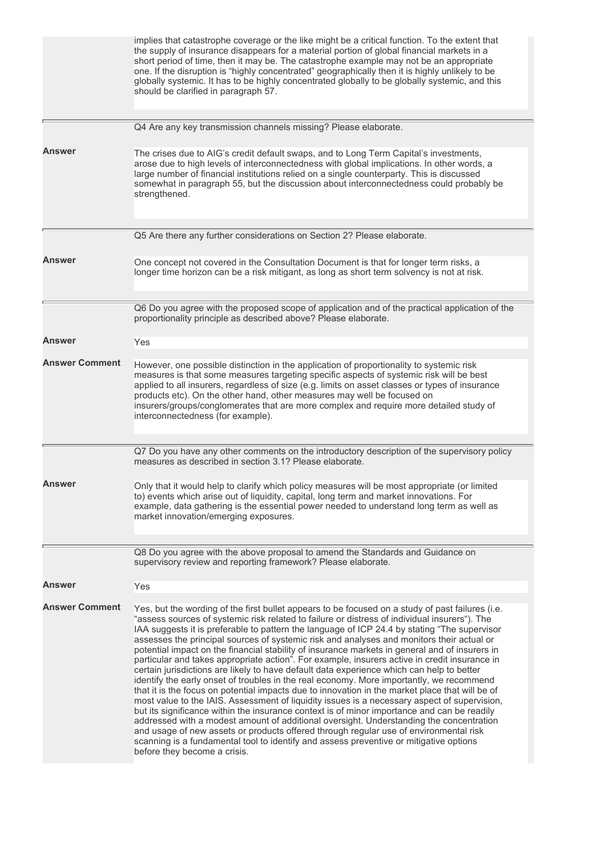|                       | implies that catastrophe coverage or the like might be a critical function. To the extent that<br>the supply of insurance disappears for a material portion of global financial markets in a<br>short period of time, then it may be. The catastrophe example may not be an appropriate<br>one. If the disruption is "highly concentrated" geographically then it is highly unlikely to be<br>globally systemic. It has to be highly concentrated globally to be globally systemic, and this<br>should be clarified in paragraph 57.                                                                                                                                                                                                                                                                                                                                                                                                                                                                                                                                                                                                                                                                                                                                                                                                                                                                       |
|-----------------------|------------------------------------------------------------------------------------------------------------------------------------------------------------------------------------------------------------------------------------------------------------------------------------------------------------------------------------------------------------------------------------------------------------------------------------------------------------------------------------------------------------------------------------------------------------------------------------------------------------------------------------------------------------------------------------------------------------------------------------------------------------------------------------------------------------------------------------------------------------------------------------------------------------------------------------------------------------------------------------------------------------------------------------------------------------------------------------------------------------------------------------------------------------------------------------------------------------------------------------------------------------------------------------------------------------------------------------------------------------------------------------------------------------|
|                       | Q4 Are any key transmission channels missing? Please elaborate.                                                                                                                                                                                                                                                                                                                                                                                                                                                                                                                                                                                                                                                                                                                                                                                                                                                                                                                                                                                                                                                                                                                                                                                                                                                                                                                                            |
| Answer                | The crises due to AIG's credit default swaps, and to Long Term Capital's investments,<br>arose due to high levels of interconnectedness with global implications. In other words, a<br>large number of financial institutions relied on a single counterparty. This is discussed<br>somewhat in paragraph 55, but the discussion about interconnectedness could probably be<br>strengthened.                                                                                                                                                                                                                                                                                                                                                                                                                                                                                                                                                                                                                                                                                                                                                                                                                                                                                                                                                                                                               |
|                       | Q5 Are there any further considerations on Section 2? Please elaborate.                                                                                                                                                                                                                                                                                                                                                                                                                                                                                                                                                                                                                                                                                                                                                                                                                                                                                                                                                                                                                                                                                                                                                                                                                                                                                                                                    |
| Answer                | One concept not covered in the Consultation Document is that for longer term risks, a<br>longer time horizon can be a risk mitigant, as long as short term solvency is not at risk.                                                                                                                                                                                                                                                                                                                                                                                                                                                                                                                                                                                                                                                                                                                                                                                                                                                                                                                                                                                                                                                                                                                                                                                                                        |
|                       | Q6 Do you agree with the proposed scope of application and of the practical application of the<br>proportionality principle as described above? Please elaborate.                                                                                                                                                                                                                                                                                                                                                                                                                                                                                                                                                                                                                                                                                                                                                                                                                                                                                                                                                                                                                                                                                                                                                                                                                                          |
| Answer                | Yes                                                                                                                                                                                                                                                                                                                                                                                                                                                                                                                                                                                                                                                                                                                                                                                                                                                                                                                                                                                                                                                                                                                                                                                                                                                                                                                                                                                                        |
| <b>Answer Comment</b> | However, one possible distinction in the application of proportionality to systemic risk<br>measures is that some measures targeting specific aspects of systemic risk will be best<br>applied to all insurers, regardless of size (e.g. limits on asset classes or types of insurance<br>products etc). On the other hand, other measures may well be focused on<br>insurers/groups/conglomerates that are more complex and require more detailed study of<br>interconnectedness (for example).                                                                                                                                                                                                                                                                                                                                                                                                                                                                                                                                                                                                                                                                                                                                                                                                                                                                                                           |
|                       | Q7 Do you have any other comments on the introductory description of the supervisory policy<br>measures as described in section 3.1? Please elaborate.                                                                                                                                                                                                                                                                                                                                                                                                                                                                                                                                                                                                                                                                                                                                                                                                                                                                                                                                                                                                                                                                                                                                                                                                                                                     |
| Answer                | Only that it would help to clarify which policy measures will be most appropriate (or limited<br>to) events which arise out of liquidity, capital, long term and market innovations. For<br>example, data gathering is the essential power needed to understand long term as well as<br>market innovation/emerging exposures.                                                                                                                                                                                                                                                                                                                                                                                                                                                                                                                                                                                                                                                                                                                                                                                                                                                                                                                                                                                                                                                                              |
|                       | Q8 Do you agree with the above proposal to amend the Standards and Guidance on                                                                                                                                                                                                                                                                                                                                                                                                                                                                                                                                                                                                                                                                                                                                                                                                                                                                                                                                                                                                                                                                                                                                                                                                                                                                                                                             |
|                       | supervisory review and reporting framework? Please elaborate.                                                                                                                                                                                                                                                                                                                                                                                                                                                                                                                                                                                                                                                                                                                                                                                                                                                                                                                                                                                                                                                                                                                                                                                                                                                                                                                                              |
| Answer                | Yes                                                                                                                                                                                                                                                                                                                                                                                                                                                                                                                                                                                                                                                                                                                                                                                                                                                                                                                                                                                                                                                                                                                                                                                                                                                                                                                                                                                                        |
| <b>Answer Comment</b> | Yes, but the wording of the first bullet appears to be focused on a study of past failures (i.e.<br>"assess sources of systemic risk related to failure or distress of individual insurers"). The<br>IAA suggests it is preferable to pattern the language of ICP 24.4 by stating "The supervisor<br>assesses the principal sources of systemic risk and analyses and monitors their actual or<br>potential impact on the financial stability of insurance markets in general and of insurers in<br>particular and takes appropriate action". For example, insurers active in credit insurance in<br>certain jurisdictions are likely to have default data experience which can help to better<br>identify the early onset of troubles in the real economy. More importantly, we recommend<br>that it is the focus on potential impacts due to innovation in the market place that will be of<br>most value to the IAIS. Assessment of liquidity issues is a necessary aspect of supervision,<br>but its significance within the insurance context is of minor importance and can be readily<br>addressed with a modest amount of additional oversight. Understanding the concentration<br>and usage of new assets or products offered through regular use of environmental risk<br>scanning is a fundamental tool to identify and assess preventive or mitigative options<br>before they become a crisis. |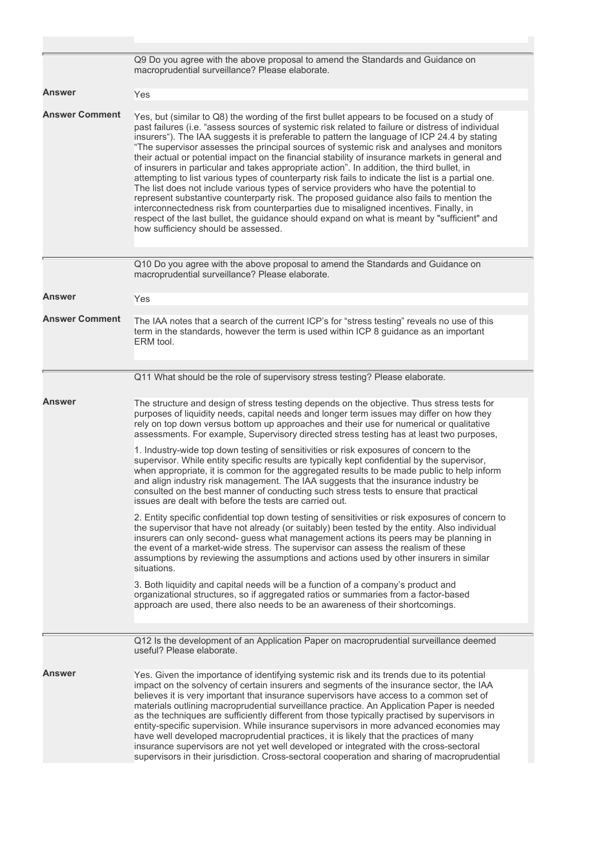|                       | Q9 Do you agree with the above proposal to amend the Standards and Guidance on<br>macroprudential surveillance? Please elaborate.                                                                                                                                                                                                                                                                                                                                                                                                                                                                                                                                                                                                                                                                                                                                                                                                                                                                                                                                                                                          |
|-----------------------|----------------------------------------------------------------------------------------------------------------------------------------------------------------------------------------------------------------------------------------------------------------------------------------------------------------------------------------------------------------------------------------------------------------------------------------------------------------------------------------------------------------------------------------------------------------------------------------------------------------------------------------------------------------------------------------------------------------------------------------------------------------------------------------------------------------------------------------------------------------------------------------------------------------------------------------------------------------------------------------------------------------------------------------------------------------------------------------------------------------------------|
| Answer                | Yes                                                                                                                                                                                                                                                                                                                                                                                                                                                                                                                                                                                                                                                                                                                                                                                                                                                                                                                                                                                                                                                                                                                        |
| <b>Answer Comment</b> | Yes, but (similar to Q8) the wording of the first bullet appears to be focused on a study of<br>past failures (i.e. "assess sources of systemic risk related to failure or distress of individual<br>insurers"). The IAA suggests it is preferable to pattern the language of ICP 24.4 by stating<br>"The supervisor assesses the principal sources of systemic risk and analyses and monitors<br>their actual or potential impact on the financial stability of insurance markets in general and<br>of insurers in particular and takes appropriate action". In addition, the third bullet, in<br>attempting to list various types of counterparty risk fails to indicate the list is a partial one.<br>The list does not include various types of service providers who have the potential to<br>represent substantive counterparty risk. The proposed guidance also fails to mention the<br>interconnectedness risk from counterparties due to misaligned incentives. Finally, in<br>respect of the last bullet, the guidance should expand on what is meant by "sufficient" and<br>how sufficiency should be assessed. |
|                       | Q10 Do you agree with the above proposal to amend the Standards and Guidance on<br>macroprudential surveillance? Please elaborate.                                                                                                                                                                                                                                                                                                                                                                                                                                                                                                                                                                                                                                                                                                                                                                                                                                                                                                                                                                                         |
| Answer                | Yes                                                                                                                                                                                                                                                                                                                                                                                                                                                                                                                                                                                                                                                                                                                                                                                                                                                                                                                                                                                                                                                                                                                        |
| <b>Answer Comment</b> | The IAA notes that a search of the current ICP's for "stress testing" reveals no use of this<br>term in the standards, however the term is used within ICP 8 guidance as an important<br>ERM tool.                                                                                                                                                                                                                                                                                                                                                                                                                                                                                                                                                                                                                                                                                                                                                                                                                                                                                                                         |
|                       | Q11 What should be the role of supervisory stress testing? Please elaborate.                                                                                                                                                                                                                                                                                                                                                                                                                                                                                                                                                                                                                                                                                                                                                                                                                                                                                                                                                                                                                                               |
| Answer                | The structure and design of stress testing depends on the objective. Thus stress tests for<br>purposes of liquidity needs, capital needs and longer term issues may differ on how they<br>rely on top down versus bottom up approaches and their use for numerical or qualitative<br>assessments. For example, Supervisory directed stress testing has at least two purposes,                                                                                                                                                                                                                                                                                                                                                                                                                                                                                                                                                                                                                                                                                                                                              |
|                       | 1. Industry-wide top down testing of sensitivities or risk exposures of concern to the<br>supervisor. While entity specific results are typically kept confidential by the supervisor,<br>when appropriate, it is common for the aggregated results to be made public to help inform<br>and align industry risk management. The IAA suggests that the insurance industry be<br>consulted on the best manner of conducting such stress tests to ensure that practical<br>issues are dealt with before the tests are carried out.                                                                                                                                                                                                                                                                                                                                                                                                                                                                                                                                                                                            |
|                       | 2. Entity specific confidential top down testing of sensitivities or risk exposures of concern to<br>the supervisor that have not already (or suitably) been tested by the entity. Also individual<br>insurers can only second- guess what management actions its peers may be planning in<br>the event of a market-wide stress. The supervisor can assess the realism of these<br>assumptions by reviewing the assumptions and actions used by other insurers in similar<br>situations.                                                                                                                                                                                                                                                                                                                                                                                                                                                                                                                                                                                                                                   |
|                       | 3. Both liquidity and capital needs will be a function of a company's product and<br>organizational structures, so if aggregated ratios or summaries from a factor-based<br>approach are used, there also needs to be an awareness of their shortcomings.                                                                                                                                                                                                                                                                                                                                                                                                                                                                                                                                                                                                                                                                                                                                                                                                                                                                  |
|                       | Q12 Is the development of an Application Paper on macroprudential surveillance deemed<br>useful? Please elaborate.                                                                                                                                                                                                                                                                                                                                                                                                                                                                                                                                                                                                                                                                                                                                                                                                                                                                                                                                                                                                         |
| <b>Answer</b>         | Yes. Given the importance of identifying systemic risk and its trends due to its potential<br>impact on the solvency of certain insurers and segments of the insurance sector, the IAA<br>believes it is very important that insurance supervisors have access to a common set of<br>materials outlining macroprudential surveillance practice. An Application Paper is needed<br>as the techniques are sufficiently different from those typically practised by supervisors in<br>entity-specific supervision. While insurance supervisors in more advanced economies may<br>have well developed macroprudential practices, it is likely that the practices of many<br>insurance supervisors are not yet well developed or integrated with the cross-sectoral<br>supervisors in their jurisdiction. Cross-sectoral cooperation and sharing of macroprudential                                                                                                                                                                                                                                                             |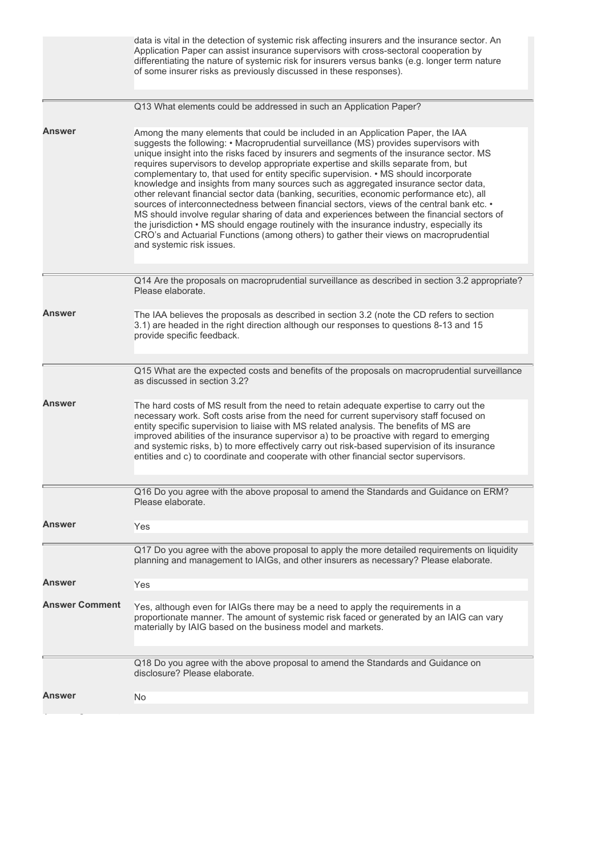|                       | data is vital in the detection of systemic risk affecting insurers and the insurance sector. An<br>Application Paper can assist insurance supervisors with cross-sectoral cooperation by<br>differentiating the nature of systemic risk for insurers versus banks (e.g. longer term nature<br>of some insurer risks as previously discussed in these responses).                                                                                                                                                                                                                                                                                                                                                                                                                                                                                                                                                                                                                                                                                     |
|-----------------------|------------------------------------------------------------------------------------------------------------------------------------------------------------------------------------------------------------------------------------------------------------------------------------------------------------------------------------------------------------------------------------------------------------------------------------------------------------------------------------------------------------------------------------------------------------------------------------------------------------------------------------------------------------------------------------------------------------------------------------------------------------------------------------------------------------------------------------------------------------------------------------------------------------------------------------------------------------------------------------------------------------------------------------------------------|
|                       | Q13 What elements could be addressed in such an Application Paper?                                                                                                                                                                                                                                                                                                                                                                                                                                                                                                                                                                                                                                                                                                                                                                                                                                                                                                                                                                                   |
| Answer                | Among the many elements that could be included in an Application Paper, the IAA<br>suggests the following: • Macroprudential surveillance (MS) provides supervisors with<br>unique insight into the risks faced by insurers and segments of the insurance sector. MS<br>requires supervisors to develop appropriate expertise and skills separate from, but<br>complementary to, that used for entity specific supervision. • MS should incorporate<br>knowledge and insights from many sources such as aggregated insurance sector data,<br>other relevant financial sector data (banking, securities, economic performance etc), all<br>sources of interconnectedness between financial sectors, views of the central bank etc. •<br>MS should involve regular sharing of data and experiences between the financial sectors of<br>the jurisdiction • MS should engage routinely with the insurance industry, especially its<br>CRO's and Actuarial Functions (among others) to gather their views on macroprudential<br>and systemic risk issues. |
|                       | Q14 Are the proposals on macroprudential surveillance as described in section 3.2 appropriate?<br>Please elaborate.                                                                                                                                                                                                                                                                                                                                                                                                                                                                                                                                                                                                                                                                                                                                                                                                                                                                                                                                  |
| <b>Answer</b>         | The IAA believes the proposals as described in section 3.2 (note the CD refers to section<br>3.1) are headed in the right direction although our responses to questions 8-13 and 15<br>provide specific feedback.                                                                                                                                                                                                                                                                                                                                                                                                                                                                                                                                                                                                                                                                                                                                                                                                                                    |
|                       | Q15 What are the expected costs and benefits of the proposals on macroprudential surveillance<br>as discussed in section 3.2?                                                                                                                                                                                                                                                                                                                                                                                                                                                                                                                                                                                                                                                                                                                                                                                                                                                                                                                        |
| Answer                | The hard costs of MS result from the need to retain adequate expertise to carry out the<br>necessary work. Soft costs arise from the need for current supervisory staff focused on<br>entity specific supervision to liaise with MS related analysis. The benefits of MS are<br>improved abilities of the insurance supervisor a) to be proactive with regard to emerging<br>and systemic risks, b) to more effectively carry out risk-based supervision of its insurance<br>entities and c) to coordinate and cooperate with other financial sector supervisors.                                                                                                                                                                                                                                                                                                                                                                                                                                                                                    |
|                       | Q16 Do you agree with the above proposal to amend the Standards and Guidance on ERM?<br>Please elaborate.                                                                                                                                                                                                                                                                                                                                                                                                                                                                                                                                                                                                                                                                                                                                                                                                                                                                                                                                            |
| Answer                | Yes                                                                                                                                                                                                                                                                                                                                                                                                                                                                                                                                                                                                                                                                                                                                                                                                                                                                                                                                                                                                                                                  |
|                       | Q17 Do you agree with the above proposal to apply the more detailed requirements on liquidity<br>planning and management to IAIGs, and other insurers as necessary? Please elaborate.                                                                                                                                                                                                                                                                                                                                                                                                                                                                                                                                                                                                                                                                                                                                                                                                                                                                |
| Answer                | Yes                                                                                                                                                                                                                                                                                                                                                                                                                                                                                                                                                                                                                                                                                                                                                                                                                                                                                                                                                                                                                                                  |
| <b>Answer Comment</b> | Yes, although even for IAIGs there may be a need to apply the requirements in a<br>proportionate manner. The amount of systemic risk faced or generated by an IAIG can vary<br>materially by IAIG based on the business model and markets.                                                                                                                                                                                                                                                                                                                                                                                                                                                                                                                                                                                                                                                                                                                                                                                                           |
|                       | Q18 Do you agree with the above proposal to amend the Standards and Guidance on<br>disclosure? Please elaborate.                                                                                                                                                                                                                                                                                                                                                                                                                                                                                                                                                                                                                                                                                                                                                                                                                                                                                                                                     |
| Answer                | No                                                                                                                                                                                                                                                                                                                                                                                                                                                                                                                                                                                                                                                                                                                                                                                                                                                                                                                                                                                                                                                   |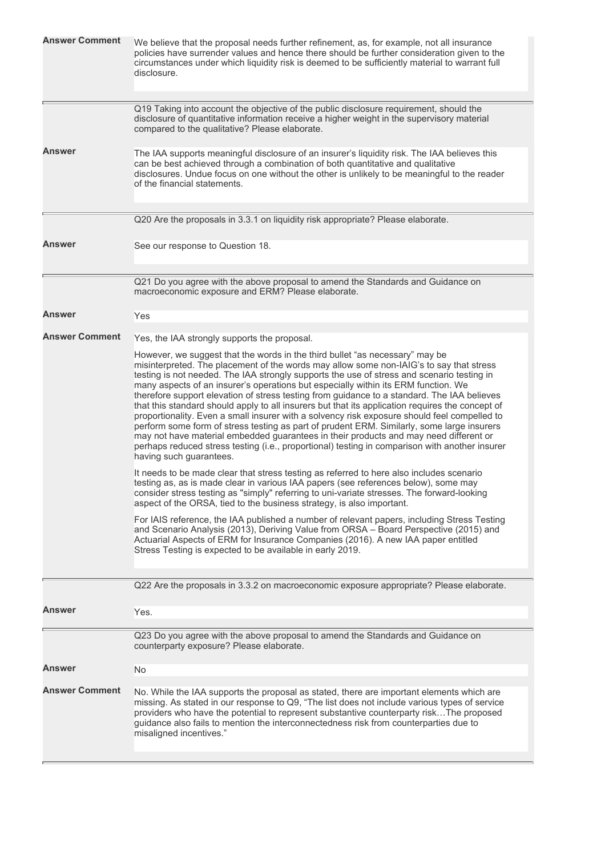| <b>Answer Comment</b> | We believe that the proposal needs further refinement, as, for example, not all insurance<br>policies have surrender values and hence there should be further consideration given to the<br>circumstances under which liquidity risk is deemed to be sufficiently material to warrant full<br>disclosure.                                                                                                                                                                                                                                                                                                                                                                                                                                                                                                                                                                                                                                                                          |
|-----------------------|------------------------------------------------------------------------------------------------------------------------------------------------------------------------------------------------------------------------------------------------------------------------------------------------------------------------------------------------------------------------------------------------------------------------------------------------------------------------------------------------------------------------------------------------------------------------------------------------------------------------------------------------------------------------------------------------------------------------------------------------------------------------------------------------------------------------------------------------------------------------------------------------------------------------------------------------------------------------------------|
|                       | Q19 Taking into account the objective of the public disclosure requirement, should the<br>disclosure of quantitative information receive a higher weight in the supervisory material<br>compared to the qualitative? Please elaborate.                                                                                                                                                                                                                                                                                                                                                                                                                                                                                                                                                                                                                                                                                                                                             |
| Answer                | The IAA supports meaningful disclosure of an insurer's liquidity risk. The IAA believes this<br>can be best achieved through a combination of both quantitative and qualitative<br>disclosures. Undue focus on one without the other is unlikely to be meaningful to the reader<br>of the financial statements.                                                                                                                                                                                                                                                                                                                                                                                                                                                                                                                                                                                                                                                                    |
|                       | Q20 Are the proposals in 3.3.1 on liquidity risk appropriate? Please elaborate.                                                                                                                                                                                                                                                                                                                                                                                                                                                                                                                                                                                                                                                                                                                                                                                                                                                                                                    |
| Answer                | See our response to Question 18.                                                                                                                                                                                                                                                                                                                                                                                                                                                                                                                                                                                                                                                                                                                                                                                                                                                                                                                                                   |
|                       | Q21 Do you agree with the above proposal to amend the Standards and Guidance on<br>macroeconomic exposure and ERM? Please elaborate.                                                                                                                                                                                                                                                                                                                                                                                                                                                                                                                                                                                                                                                                                                                                                                                                                                               |
| <b>Answer</b>         | Yes                                                                                                                                                                                                                                                                                                                                                                                                                                                                                                                                                                                                                                                                                                                                                                                                                                                                                                                                                                                |
| <b>Answer Comment</b> | Yes, the IAA strongly supports the proposal.                                                                                                                                                                                                                                                                                                                                                                                                                                                                                                                                                                                                                                                                                                                                                                                                                                                                                                                                       |
|                       | However, we suggest that the words in the third bullet "as necessary" may be<br>misinterpreted. The placement of the words may allow some non-IAIG's to say that stress<br>testing is not needed. The IAA strongly supports the use of stress and scenario testing in<br>many aspects of an insurer's operations but especially within its ERM function. We<br>therefore support elevation of stress testing from guidance to a standard. The IAA believes<br>that this standard should apply to all insurers but that its application requires the concept of<br>proportionality. Even a small insurer with a solvency risk exposure should feel compelled to<br>perform some form of stress testing as part of prudent ERM. Similarly, some large insurers<br>may not have material embedded guarantees in their products and may need different or<br>perhaps reduced stress testing (i.e., proportional) testing in comparison with another insurer<br>having such guarantees. |
|                       | It needs to be made clear that stress testing as referred to here also includes scenario<br>testing as, as is made clear in various IAA papers (see references below), some may<br>consider stress testing as "simply" referring to uni-variate stresses. The forward-looking<br>aspect of the ORSA, tied to the business strategy, is also important.                                                                                                                                                                                                                                                                                                                                                                                                                                                                                                                                                                                                                             |
|                       | For IAIS reference, the IAA published a number of relevant papers, including Stress Testing<br>and Scenario Analysis (2013), Deriving Value from ORSA - Board Perspective (2015) and<br>Actuarial Aspects of ERM for Insurance Companies (2016). A new IAA paper entitled<br>Stress Testing is expected to be available in early 2019.                                                                                                                                                                                                                                                                                                                                                                                                                                                                                                                                                                                                                                             |
|                       | Q22 Are the proposals in 3.3.2 on macroeconomic exposure appropriate? Please elaborate.                                                                                                                                                                                                                                                                                                                                                                                                                                                                                                                                                                                                                                                                                                                                                                                                                                                                                            |
| Answer                | Yes.                                                                                                                                                                                                                                                                                                                                                                                                                                                                                                                                                                                                                                                                                                                                                                                                                                                                                                                                                                               |
|                       | Q23 Do you agree with the above proposal to amend the Standards and Guidance on<br>counterparty exposure? Please elaborate.                                                                                                                                                                                                                                                                                                                                                                                                                                                                                                                                                                                                                                                                                                                                                                                                                                                        |
| Answer                | <b>No</b>                                                                                                                                                                                                                                                                                                                                                                                                                                                                                                                                                                                                                                                                                                                                                                                                                                                                                                                                                                          |
| <b>Answer Comment</b> | No. While the IAA supports the proposal as stated, there are important elements which are<br>missing. As stated in our response to Q9, "The list does not include various types of service<br>providers who have the potential to represent substantive counterparty riskThe proposed<br>guidance also fails to mention the interconnectedness risk from counterparties due to<br>misaligned incentives."                                                                                                                                                                                                                                                                                                                                                                                                                                                                                                                                                                          |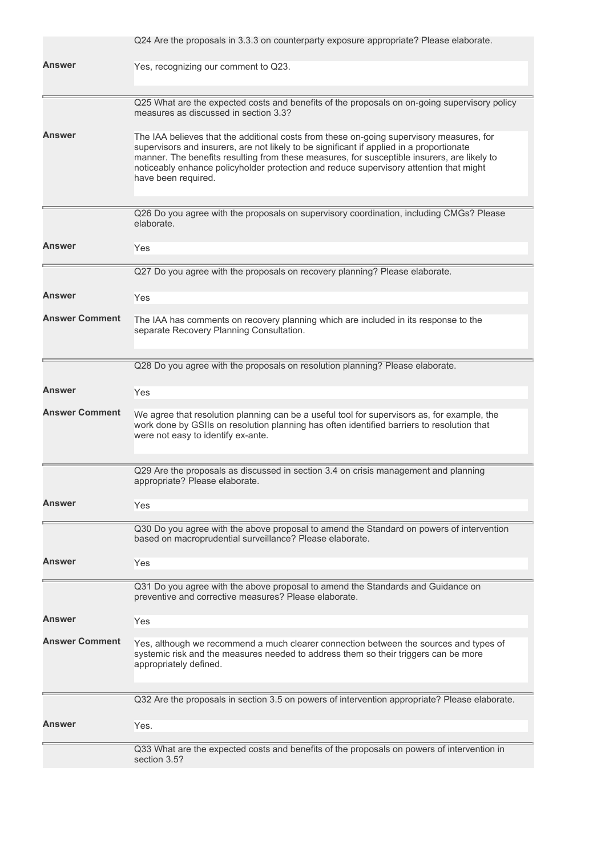|                       | Q24 Are the proposals in 3.3.3 on counterparty exposure appropriate? Please elaborate.                                                                                                                                                                                                                                                                                                               |
|-----------------------|------------------------------------------------------------------------------------------------------------------------------------------------------------------------------------------------------------------------------------------------------------------------------------------------------------------------------------------------------------------------------------------------------|
| Answer                | Yes, recognizing our comment to Q23.                                                                                                                                                                                                                                                                                                                                                                 |
|                       | Q25 What are the expected costs and benefits of the proposals on on-going supervisory policy<br>measures as discussed in section 3.3?                                                                                                                                                                                                                                                                |
| Answer                | The IAA believes that the additional costs from these on-going supervisory measures, for<br>supervisors and insurers, are not likely to be significant if applied in a proportionate<br>manner. The benefits resulting from these measures, for susceptible insurers, are likely to<br>noticeably enhance policyholder protection and reduce supervisory attention that might<br>have been required. |
|                       | Q26 Do you agree with the proposals on supervisory coordination, including CMGs? Please<br>elaborate.                                                                                                                                                                                                                                                                                                |
| <b>Answer</b>         | Yes                                                                                                                                                                                                                                                                                                                                                                                                  |
|                       | Q27 Do you agree with the proposals on recovery planning? Please elaborate.                                                                                                                                                                                                                                                                                                                          |
| Answer                | Yes                                                                                                                                                                                                                                                                                                                                                                                                  |
| <b>Answer Comment</b> | The IAA has comments on recovery planning which are included in its response to the<br>separate Recovery Planning Consultation.                                                                                                                                                                                                                                                                      |
|                       | Q28 Do you agree with the proposals on resolution planning? Please elaborate.                                                                                                                                                                                                                                                                                                                        |
| Answer                | Yes                                                                                                                                                                                                                                                                                                                                                                                                  |
| <b>Answer Comment</b> | We agree that resolution planning can be a useful tool for supervisors as, for example, the<br>work done by GSIIs on resolution planning has often identified barriers to resolution that<br>were not easy to identify ex-ante.                                                                                                                                                                      |
|                       | Q29 Are the proposals as discussed in section 3.4 on crisis management and planning<br>appropriate? Please elaborate.                                                                                                                                                                                                                                                                                |
| Answer                | Yes                                                                                                                                                                                                                                                                                                                                                                                                  |
|                       | Q30 Do you agree with the above proposal to amend the Standard on powers of intervention<br>based on macroprudential surveillance? Please elaborate.                                                                                                                                                                                                                                                 |
| Answer                | Yes                                                                                                                                                                                                                                                                                                                                                                                                  |
|                       | Q31 Do you agree with the above proposal to amend the Standards and Guidance on<br>preventive and corrective measures? Please elaborate.                                                                                                                                                                                                                                                             |
| Answer                | Yes                                                                                                                                                                                                                                                                                                                                                                                                  |
| <b>Answer Comment</b> | Yes, although we recommend a much clearer connection between the sources and types of<br>systemic risk and the measures needed to address them so their triggers can be more<br>appropriately defined.                                                                                                                                                                                               |
|                       | Q32 Are the proposals in section 3.5 on powers of intervention appropriate? Please elaborate.                                                                                                                                                                                                                                                                                                        |
| Answer                | Yes.                                                                                                                                                                                                                                                                                                                                                                                                 |
|                       | Q33 What are the expected costs and benefits of the proposals on powers of intervention in<br>section 3.5?                                                                                                                                                                                                                                                                                           |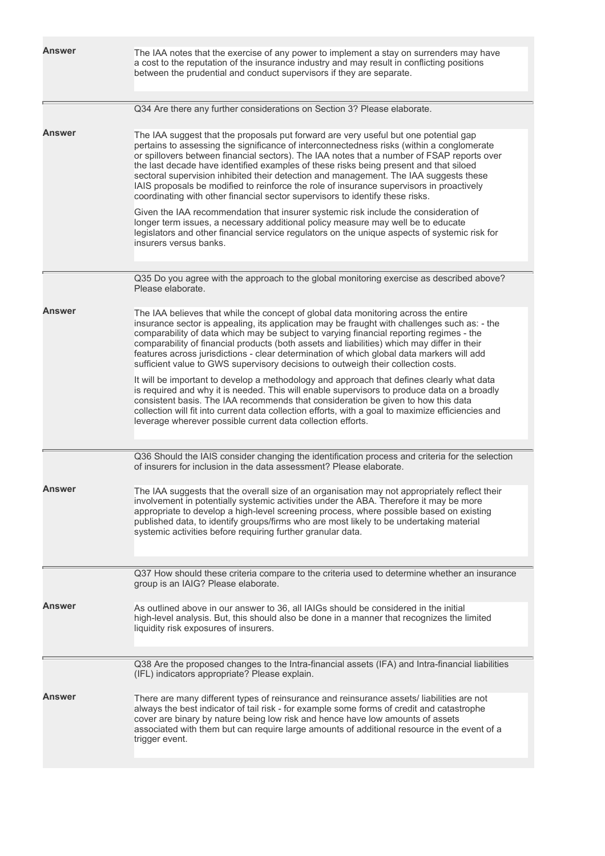| Answer | The IAA notes that the exercise of any power to implement a stay on surrenders may have<br>a cost to the reputation of the insurance industry and may result in conflicting positions<br>between the prudential and conduct supervisors if they are separate.                                                                                                                                                                                                                                                                                                                                                                                  |
|--------|------------------------------------------------------------------------------------------------------------------------------------------------------------------------------------------------------------------------------------------------------------------------------------------------------------------------------------------------------------------------------------------------------------------------------------------------------------------------------------------------------------------------------------------------------------------------------------------------------------------------------------------------|
|        | Q34 Are there any further considerations on Section 3? Please elaborate.                                                                                                                                                                                                                                                                                                                                                                                                                                                                                                                                                                       |
| Answer | The IAA suggest that the proposals put forward are very useful but one potential gap<br>pertains to assessing the significance of interconnectedness risks (within a conglomerate<br>or spillovers between financial sectors). The IAA notes that a number of FSAP reports over<br>the last decade have identified examples of these risks being present and that siloed<br>sectoral supervision inhibited their detection and management. The IAA suggests these<br>IAIS proposals be modified to reinforce the role of insurance supervisors in proactively<br>coordinating with other financial sector supervisors to identify these risks. |
|        | Given the IAA recommendation that insurer systemic risk include the consideration of<br>longer term issues, a necessary additional policy measure may well be to educate<br>legislators and other financial service regulators on the unique aspects of systemic risk for<br>insurers versus banks.                                                                                                                                                                                                                                                                                                                                            |
|        | Q35 Do you agree with the approach to the global monitoring exercise as described above?<br>Please elaborate.                                                                                                                                                                                                                                                                                                                                                                                                                                                                                                                                  |
| Answer | The IAA believes that while the concept of global data monitoring across the entire<br>insurance sector is appealing, its application may be fraught with challenges such as: - the<br>comparability of data which may be subject to varying financial reporting regimes - the<br>comparability of financial products (both assets and liabilities) which may differ in their<br>features across jurisdictions - clear determination of which global data markers will add<br>sufficient value to GWS supervisory decisions to outweigh their collection costs.                                                                                |
|        | It will be important to develop a methodology and approach that defines clearly what data<br>is required and why it is needed. This will enable supervisors to produce data on a broadly<br>consistent basis. The IAA recommends that consideration be given to how this data<br>collection will fit into current data collection efforts, with a goal to maximize efficiencies and<br>leverage wherever possible current data collection efforts.                                                                                                                                                                                             |
|        | Q36 Should the IAIS consider changing the identification process and criteria for the selection<br>of insurers for inclusion in the data assessment? Please elaborate.                                                                                                                                                                                                                                                                                                                                                                                                                                                                         |
| Answer | The IAA suggests that the overall size of an organisation may not appropriately reflect their<br>involvement in potentially systemic activities under the ABA. Therefore it may be more<br>appropriate to develop a high-level screening process, where possible based on existing<br>published data, to identify groups/firms who are most likely to be undertaking material<br>systemic activities before requiring further granular data.                                                                                                                                                                                                   |
|        | Q37 How should these criteria compare to the criteria used to determine whether an insurance<br>group is an IAIG? Please elaborate.                                                                                                                                                                                                                                                                                                                                                                                                                                                                                                            |
| Answer | As outlined above in our answer to 36, all IAIGs should be considered in the initial<br>high-level analysis. But, this should also be done in a manner that recognizes the limited<br>liquidity risk exposures of insurers.                                                                                                                                                                                                                                                                                                                                                                                                                    |
|        | Q38 Are the proposed changes to the Intra-financial assets (IFA) and Intra-financial liabilities<br>(IFL) indicators appropriate? Please explain.                                                                                                                                                                                                                                                                                                                                                                                                                                                                                              |
| Answer | There are many different types of reinsurance and reinsurance assets/liabilities are not<br>always the best indicator of tail risk - for example some forms of credit and catastrophe<br>cover are binary by nature being low risk and hence have low amounts of assets<br>associated with them but can require large amounts of additional resource in the event of a<br>trigger event.                                                                                                                                                                                                                                                       |
|        |                                                                                                                                                                                                                                                                                                                                                                                                                                                                                                                                                                                                                                                |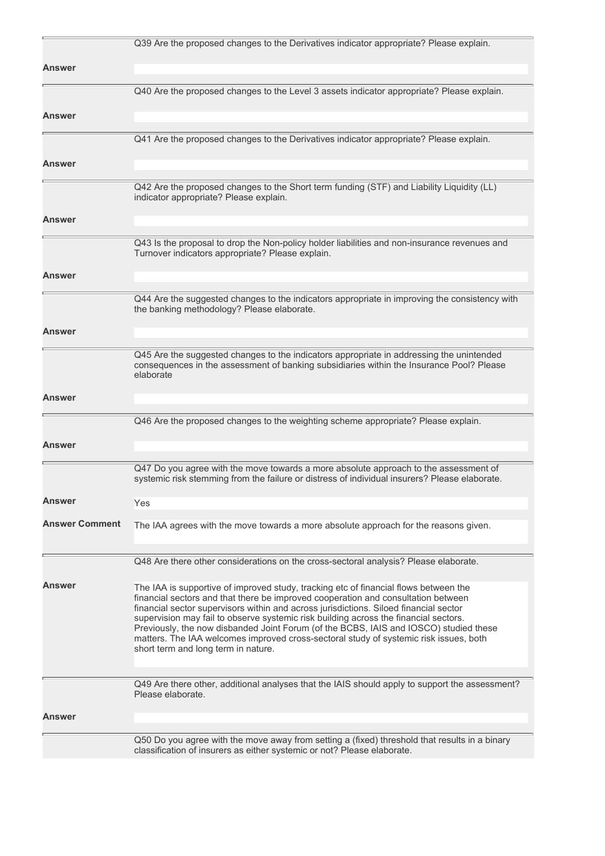|                       | Q39 Are the proposed changes to the Derivatives indicator appropriate? Please explain.                                                                                                                                                                                                                                                                                                                                                                                                                                                                                              |
|-----------------------|-------------------------------------------------------------------------------------------------------------------------------------------------------------------------------------------------------------------------------------------------------------------------------------------------------------------------------------------------------------------------------------------------------------------------------------------------------------------------------------------------------------------------------------------------------------------------------------|
| Answer                |                                                                                                                                                                                                                                                                                                                                                                                                                                                                                                                                                                                     |
|                       | Q40 Are the proposed changes to the Level 3 assets indicator appropriate? Please explain.                                                                                                                                                                                                                                                                                                                                                                                                                                                                                           |
| Answer                |                                                                                                                                                                                                                                                                                                                                                                                                                                                                                                                                                                                     |
|                       |                                                                                                                                                                                                                                                                                                                                                                                                                                                                                                                                                                                     |
|                       | Q41 Are the proposed changes to the Derivatives indicator appropriate? Please explain.                                                                                                                                                                                                                                                                                                                                                                                                                                                                                              |
| Answer                |                                                                                                                                                                                                                                                                                                                                                                                                                                                                                                                                                                                     |
|                       | Q42 Are the proposed changes to the Short term funding (STF) and Liability Liquidity (LL)<br>indicator appropriate? Please explain.                                                                                                                                                                                                                                                                                                                                                                                                                                                 |
| Answer                |                                                                                                                                                                                                                                                                                                                                                                                                                                                                                                                                                                                     |
|                       | Q43 Is the proposal to drop the Non-policy holder liabilities and non-insurance revenues and<br>Turnover indicators appropriate? Please explain.                                                                                                                                                                                                                                                                                                                                                                                                                                    |
| Answer                |                                                                                                                                                                                                                                                                                                                                                                                                                                                                                                                                                                                     |
|                       | Q44 Are the suggested changes to the indicators appropriate in improving the consistency with<br>the banking methodology? Please elaborate.                                                                                                                                                                                                                                                                                                                                                                                                                                         |
| Answer                |                                                                                                                                                                                                                                                                                                                                                                                                                                                                                                                                                                                     |
|                       | Q45 Are the suggested changes to the indicators appropriate in addressing the unintended<br>consequences in the assessment of banking subsidiaries within the Insurance Pool? Please<br>elaborate                                                                                                                                                                                                                                                                                                                                                                                   |
| Answer                |                                                                                                                                                                                                                                                                                                                                                                                                                                                                                                                                                                                     |
|                       | Q46 Are the proposed changes to the weighting scheme appropriate? Please explain.                                                                                                                                                                                                                                                                                                                                                                                                                                                                                                   |
| <b>Answer</b>         |                                                                                                                                                                                                                                                                                                                                                                                                                                                                                                                                                                                     |
|                       | Q47 Do you agree with the move towards a more absolute approach to the assessment of<br>systemic risk stemming from the failure or distress of individual insurers? Please elaborate.                                                                                                                                                                                                                                                                                                                                                                                               |
| Answer                | Yes                                                                                                                                                                                                                                                                                                                                                                                                                                                                                                                                                                                 |
| <b>Answer Comment</b> | The IAA agrees with the move towards a more absolute approach for the reasons given.                                                                                                                                                                                                                                                                                                                                                                                                                                                                                                |
|                       | Q48 Are there other considerations on the cross-sectoral analysis? Please elaborate.                                                                                                                                                                                                                                                                                                                                                                                                                                                                                                |
| Answer                | The IAA is supportive of improved study, tracking etc of financial flows between the<br>financial sectors and that there be improved cooperation and consultation between<br>financial sector supervisors within and across jurisdictions. Siloed financial sector<br>supervision may fail to observe systemic risk building across the financial sectors.<br>Previously, the now disbanded Joint Forum (of the BCBS, IAIS and IOSCO) studied these<br>matters. The IAA welcomes improved cross-sectoral study of systemic risk issues, both<br>short term and long term in nature. |
|                       | Q49 Are there other, additional analyses that the IAIS should apply to support the assessment?<br>Please elaborate.                                                                                                                                                                                                                                                                                                                                                                                                                                                                 |
| Answer                |                                                                                                                                                                                                                                                                                                                                                                                                                                                                                                                                                                                     |
|                       | Q50 Do you agree with the move away from setting a (fixed) threshold that results in a binary<br>classification of insurers as either systemic or not? Please elaborate.                                                                                                                                                                                                                                                                                                                                                                                                            |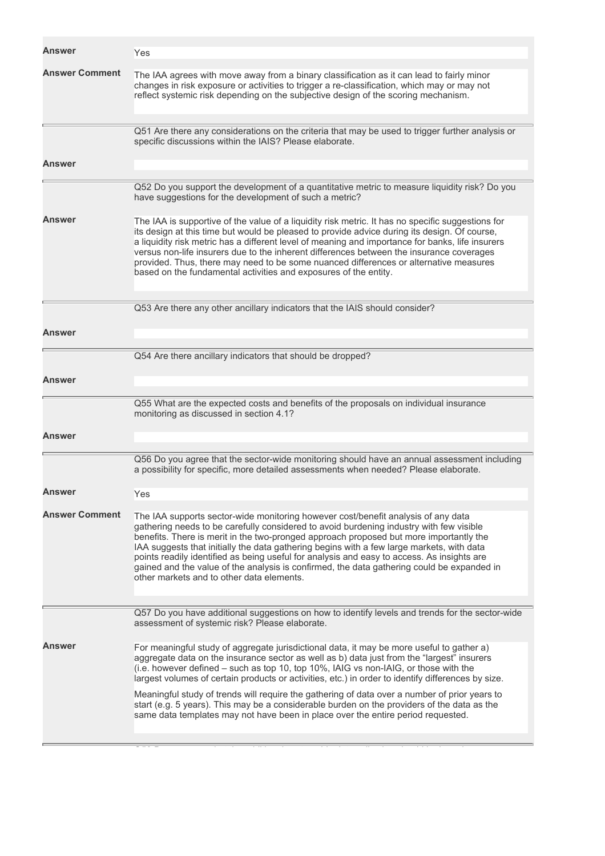| Answer                | Yes                                                                                                                                                                                                                                                                                                                                                                                                                                                                                                                                                                                                                                                                       |
|-----------------------|---------------------------------------------------------------------------------------------------------------------------------------------------------------------------------------------------------------------------------------------------------------------------------------------------------------------------------------------------------------------------------------------------------------------------------------------------------------------------------------------------------------------------------------------------------------------------------------------------------------------------------------------------------------------------|
| <b>Answer Comment</b> | The IAA agrees with move away from a binary classification as it can lead to fairly minor<br>changes in risk exposure or activities to trigger a re-classification, which may or may not<br>reflect systemic risk depending on the subjective design of the scoring mechanism.                                                                                                                                                                                                                                                                                                                                                                                            |
|                       | Q51 Are there any considerations on the criteria that may be used to trigger further analysis or<br>specific discussions within the IAIS? Please elaborate.                                                                                                                                                                                                                                                                                                                                                                                                                                                                                                               |
| Answer                |                                                                                                                                                                                                                                                                                                                                                                                                                                                                                                                                                                                                                                                                           |
|                       | Q52 Do you support the development of a quantitative metric to measure liquidity risk? Do you<br>have suggestions for the development of such a metric?                                                                                                                                                                                                                                                                                                                                                                                                                                                                                                                   |
| Answer                | The IAA is supportive of the value of a liquidity risk metric. It has no specific suggestions for<br>its design at this time but would be pleased to provide advice during its design. Of course,<br>a liquidity risk metric has a different level of meaning and importance for banks, life insurers<br>versus non-life insurers due to the inherent differences between the insurance coverages<br>provided. Thus, there may need to be some nuanced differences or alternative measures<br>based on the fundamental activities and exposures of the entity.                                                                                                            |
|                       | Q53 Are there any other ancillary indicators that the IAIS should consider?                                                                                                                                                                                                                                                                                                                                                                                                                                                                                                                                                                                               |
| Answer                |                                                                                                                                                                                                                                                                                                                                                                                                                                                                                                                                                                                                                                                                           |
|                       | Q54 Are there ancillary indicators that should be dropped?                                                                                                                                                                                                                                                                                                                                                                                                                                                                                                                                                                                                                |
| Answer                |                                                                                                                                                                                                                                                                                                                                                                                                                                                                                                                                                                                                                                                                           |
|                       | Q55 What are the expected costs and benefits of the proposals on individual insurance<br>monitoring as discussed in section 4.1?                                                                                                                                                                                                                                                                                                                                                                                                                                                                                                                                          |
| Answer                |                                                                                                                                                                                                                                                                                                                                                                                                                                                                                                                                                                                                                                                                           |
|                       | Q56 Do you agree that the sector-wide monitoring should have an annual assessment including<br>a possibility for specific, more detailed assessments when needed? Please elaborate.                                                                                                                                                                                                                                                                                                                                                                                                                                                                                       |
| Answer                | Yes                                                                                                                                                                                                                                                                                                                                                                                                                                                                                                                                                                                                                                                                       |
| <b>Answer Comment</b> | The IAA supports sector-wide monitoring however cost/benefit analysis of any data<br>gathering needs to be carefully considered to avoid burdening industry with few visible<br>benefits. There is merit in the two-pronged approach proposed but more importantly the<br>IAA suggests that initially the data gathering begins with a few large markets, with data<br>points readily identified as being useful for analysis and easy to access. As insights are<br>gained and the value of the analysis is confirmed, the data gathering could be expanded in<br>other markets and to other data elements.                                                              |
|                       | Q57 Do you have additional suggestions on how to identify levels and trends for the sector-wide<br>assessment of systemic risk? Please elaborate.                                                                                                                                                                                                                                                                                                                                                                                                                                                                                                                         |
| <b>Answer</b>         | For meaningful study of aggregate jurisdictional data, it may be more useful to gather a)<br>aggregate data on the insurance sector as well as b) data just from the "largest" insurers<br>(i.e. however defined – such as top 10, top 10%, IAIG vs non-IAIG, or those with the<br>largest volumes of certain products or activities, etc.) in order to identify differences by size.<br>Meaningful study of trends will require the gathering of data over a number of prior years to<br>start (e.g. 5 years). This may be a considerable burden on the providers of the data as the<br>same data templates may not have been in place over the entire period requested. |
|                       |                                                                                                                                                                                                                                                                                                                                                                                                                                                                                                                                                                                                                                                                           |